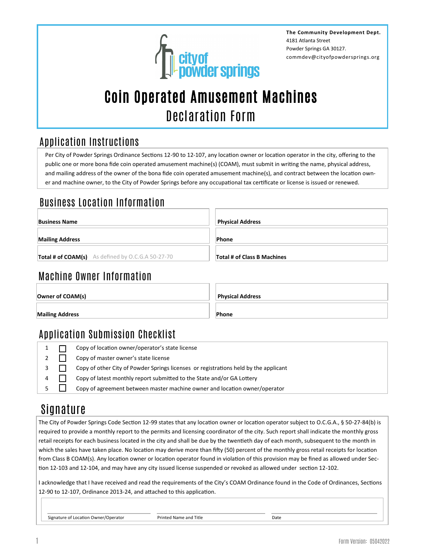

**The Community Development Dept.** 4181 Atlanta Street Powder Springs GA 30127. commdev@cityofpowdersprings.org

# Coin Operated Amusement Machines Declaration Form

### Application Instructions

Per City of Powder Springs Ordinance Sections 12-90 to 12-107, any location owner or location operator in the city, offering to the public one or more bona fide coin operated amusement machine(s) (COAM), must submit in writing the name, physical address, and mailing address of the owner of the bona fide coin operated amusement machine(s), and contract between the location owner and machine owner, to the City of Powder Springs before any occupational tax certificate or license is issued or renewed.

## Business Location Information

| <b>Business Name</b>                              | <b>Physical Address</b>     |
|---------------------------------------------------|-----------------------------|
| <b>Mailing Address</b>                            | Phone                       |
| Total # of COAM(s) As defined by O.C.G.A 50-27-70 | Total # of Class B Machines |

### Machine Owner Information

|  | Owner of COAM(s) |  |
|--|------------------|--|
|  |                  |  |

**Mailing Address Phone** 

**Physical Address** 

## Application Submission Checklist

|  | Copy of location owner/operator's state license                                      |
|--|--------------------------------------------------------------------------------------|
|  | Copy of master owner's state license                                                 |
|  | Copy of other City of Powder Springs licenses or registrations held by the applicant |
|  | Copy of latest monthly report submitted to the State and/or GA Lottery               |
|  | Copy of agreement between master machine owner and location owner/operator           |

## Signature

The City of Powder Springs Code Section 12-99 states that any location owner or location operator subject to O.C.G.A., § 50-27-84(b) is required to provide a monthly report to the permits and licensing coordinator of the city. Such report shall indicate the monthly gross retail receipts for each business located in the city and shall be due by the twentieth day of each month, subsequent to the month in which the sales have taken place. No location may derive more than fifty (50) percent of the monthly gross retail receipts for location from Class B COAM(s). Any location owner or location operator found in violation of this provision may be fined as allowed under Section 12-103 and 12-104, and may have any city issued license suspended or revoked as allowed under section 12-102.

I acknowledge that I have received and read the requirements of the City's COAM Ordinance found in the Code of Ordinances, Sections 12-90 to 12-107, Ordinance 2013-24, and attached to this application.

Signature of Location Owner/Operator **Printed Name and Title Printed Name and Title Prince I**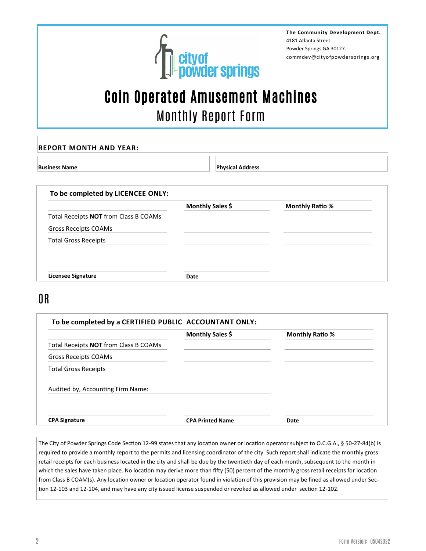

**The Community Development Dept.** 4181 Atlanta Street Powder Springs GA 30127. commdev@cityofpowdersprings.org

# Coin Operated Amusement Machines Monthly Report Form

| <b>Business Name</b>                         | <b>Physical Address</b> |                        |
|----------------------------------------------|-------------------------|------------------------|
|                                              |                         |                        |
|                                              |                         |                        |
| To be completed by LICENCEE ONLY:            |                         |                        |
|                                              |                         |                        |
|                                              | Monthly Sales \$        | <b>Monthly Ratio %</b> |
| Total Receipts <b>NOT</b> from Class B COAMs |                         |                        |
| Gross Receipts COAMs                         |                         |                        |

OR

**Licensee Signature Date**

|                                              | Monthly Sales \$        | <b>Monthly Ratio %</b> |
|----------------------------------------------|-------------------------|------------------------|
| Total Receipts <b>NOT</b> from Class B COAMs |                         |                        |
| Gross Receipts COAMs                         |                         |                        |
| <b>Total Gross Receipts</b>                  |                         |                        |
| Audited by, Accounting Firm Name:            |                         |                        |
| <b>CPA Signature</b>                         | <b>CPA Printed Name</b> | Date                   |

The City of Powder Springs Code Section 12-99 states that any location owner or location operator subject to O.C.G.A., § 50-27-84(b) is required to provide a monthly report to the permits and licensing coordinator of the city. Such report shall indicate the monthly gross retail receipts for each business located in the city and shall be due by the twentieth day of each month, subsequent to the month in which the sales have taken place. No location may derive more than fifty (50) percent of the monthly gross retail receipts for location from Class B COAM(s). Any location owner or location operator found in violation of this provision may be fined as allowed under Section 12-103 and 12-104, and may have any city issued license suspended or revoked as allowed under section 12-102.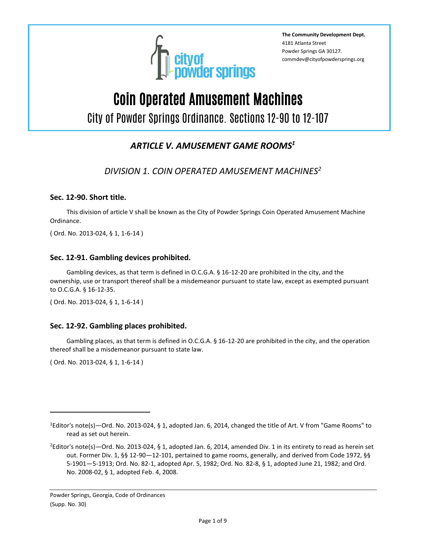

**The Community Development Dept.** 4181 Atlanta Street Powder Springs GA 30127. commdev@cityofpowdersprings.org

# Coin Operated Amusement Machines

City of Powder Springs Ordinance. Sections 12-90 to 12-107

### *ARTICLE V. AMUSEMENT GAME ROOMS<sup>1</sup>*

*DIVISION 1. COIN OPERATED AMUSEMENT MACHINES<sup>2</sup>*

#### **Sec. 12-90. Short title.**

This division of article V shall be known as the City of Powder Springs Coin Operated Amusement Machine Ordinance.

( Ord. No. 2013-024, § 1, 1-6-14 )

#### **Sec. 12-91. Gambling devices prohibited.**

Gambling devices, as that term is defined in O.C.G.A. § 16-12-20 are prohibited in the city, and the ownership, use or transport thereof shall be a misdemeanor pursuant to state law, except as exempted pursuant to O.C.G.A. § 16-12-35.

( Ord. No. 2013-024, § 1, 1-6-14 )

#### **Sec. 12-92. Gambling places prohibited.**

Gambling places, as that term is defined in O.C.G.A. § 16-12-20 are prohibited in the city, and the operation thereof shall be a misdemeanor pursuant to state law.

( Ord. No. 2013-024, § 1, 1-6-14 )

<sup>1</sup>Editor's note(s)—Ord. No. 2013-024, § 1, adopted Jan. 6, 2014, changed the title of Art. V from "Game Rooms" to read as set out herein.

<sup>&</sup>lt;sup>2</sup>Editor's note(s)—Ord. No. 2013-024, § 1, adopted Jan. 6, 2014, amended Div. 1 in its entirety to read as herein set out. Former Div. 1, §§ 12-90—12-101, pertained to game rooms, generally, and derived from Code 1972, §§ 5-1901—5-1913; Ord. No. 82-1, adopted Apr. 5, 1982; Ord. No. 82-8, § 1, adopted June 21, 1982; and Ord. No. 2008-02, § 1, adopted Feb. 4, 2008.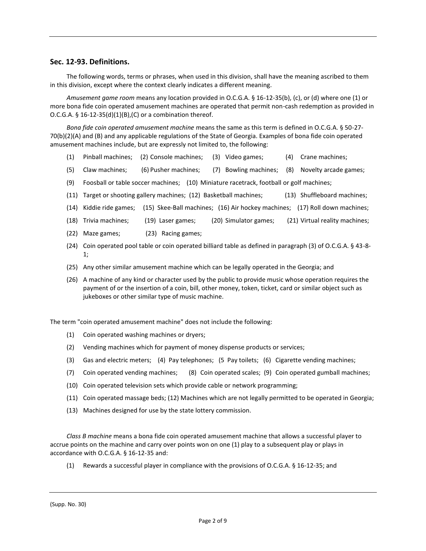#### **Sec. 12-93. Definitions.**

The following words, terms or phrases, when used in this division, shall have the meaning ascribed to them in this division, except where the context clearly indicates a different meaning.

*Amusement game room* means any location provided in O.C.G.A. § 16-12-35(b), (c), or (d) where one (1) or more bona fide coin operated amusement machines are operated that permit non-cash redemption as provided in O.C.G.A.  $\S$  16-12-35(d)(1}(B),(C) or a combination thereof.

*Bona fide coin operated amusement machine* means the same as this term is defined in O.C.G.A. § 50-27- 70(b)(2)(A) and (B) and any applicable regulations of the State of Georgia. Examples of bona fide coin operated amusement machines include, but are expressly not limited to, the following:

- (1) Pinball machines; (2) Console machines; (3) Video games; (4) Crane machines;
- (5) Claw machines; (6) Pusher machines; (7) Bowling machines; (8) Novelty arcade games;
- (9) Foosball or table soccer machines; (10) Miniature racetrack, football or golf machines;
- (11) Target or shooting gallery machines; (12) Basketball machines; (13) Shuffleboard machines;
- (14) Kiddie ride games; (15) Skee-Ball machines; (16) Air hockey machines; (17) Roll down machines;
- (18) Trivia machines; (19) Laser games; (20) Simulator games; (21) Virtual reality machines;
- (22) Maze games; (23) Racing games;
- (24) Coin operated pool table or coin operated billiard table as defined in paragraph (3) of O.C.G.A. § 43-8- 1;
- (25) Any other similar amusement machine which can be legally operated in the Georgia; and
- (26) A machine of any kind or character used by the public to provide music whose operation requires the payment of or the insertion of a coin, bill, other money, token, ticket, card or similar object such as jukeboxes or other similar type of music machine.

The term "coin operated amusement machine" does not include the following:

- (1) Coin operated washing machines or dryers;
- (2) Vending machines which for payment of money dispense products or services;
- (3) Gas and electric meters; (4) Pay telephones; (5 Pay toilets; (6) Cigarette vending machines;
- (7) Coin operated vending machines; (8) Coin operated scales; (9) Coin operated gumball machines;
- (10) Coin operated television sets which provide cable or network programming;
- (11) Coin operated massage beds; (12) Machines which are not legally permitted to be operated in Georgia;
- (13) Machines designed for use by the state lottery commission.

*Class B machine* means a bona fide coin operated amusement machine that allows a successful player to accrue points on the machine and carry over points won on one (1) play to a subsequent play or plays in accordance with O.C.G.A. § 16-12-35 and:

(1) Rewards a successful player in compliance with the provisions of O.C.G.A. § 16-12-35; and

(Supp. No. 30)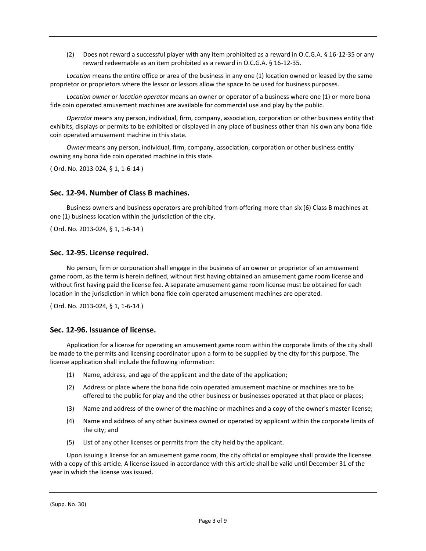(2) Does not reward a successful player with any item prohibited as a reward in O.C.G.A. § 16-12-35 or any reward redeemable as an item prohibited as a reward in O.C.G.A. § 16-12-35.

*Location* means the entire office or area of the business in any one (1) location owned or leased by the same proprietor or proprietors where the lessor or lessors allow the space to be used for business purposes.

*Location owner* or *location operator* means an owner or operator of a business where one (1) or more bona fide coin operated amusement machines are available for commercial use and play by the public.

*Operator* means any person, individual, firm, company, association, corporation or other business entity that exhibits, displays or permits to be exhibited or displayed in any place of business other than his own any bona fide coin operated amusement machine in this state.

*Owner* means any person, individual, firm, company, association, corporation or other business entity owning any bona fide coin operated machine in this state.

( Ord. No. 2013-024, § 1, 1-6-14 )

#### **Sec. 12-94. Number of Class B machines.**

Business owners and business operators are prohibited from offering more than six (6) Class B machines at one (1) business location within the jurisdiction of the city.

( Ord. No. 2013-024, § 1, 1-6-14 )

#### **Sec. 12-95. License required.**

No person, firm or corporation shall engage in the business of an owner or proprietor of an amusement game room, as the term is herein defined, without first having obtained an amusement game room license and without first having paid the license fee. A separate amusement game room license must be obtained for each location in the jurisdiction in which bona fide coin operated amusement machines are operated.

( Ord. No. 2013-024, § 1, 1-6-14 )

#### **Sec. 12-96. Issuance of license.**

Application for a license for operating an amusement game room within the corporate limits of the city shall be made to the permits and licensing coordinator upon a form to be supplied by the city for this purpose. The license application shall include the following information:

- (1) Name, address, and age of the applicant and the date of the application;
- (2) Address or place where the bona fide coin operated amusement machine or machines are to be offered to the public for play and the other business or businesses operated at that place or places;
- (3) Name and address of the owner of the machine or machines and a copy of the owner's master license;
- (4) Name and address of any other business owned or operated by applicant within the corporate limits of the city; and
- (5) List of any other licenses or permits from the city held by the applicant.

Upon issuing a license for an amusement game room, the city official or employee shall provide the licensee with a copy of this article. A license issued in accordance with this article shall be valid until December 31 of the year in which the license was issued.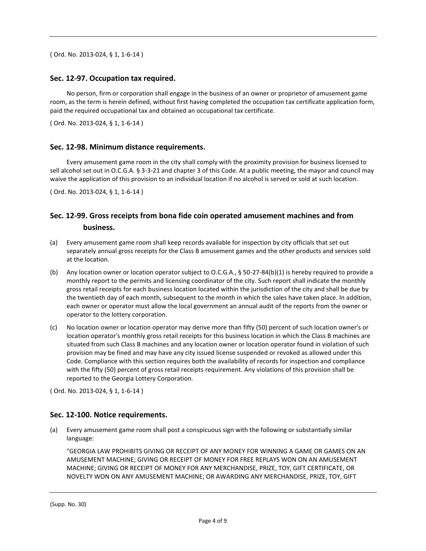( Ord. No. 2013-024, § 1, 1-6-14 )

#### **Sec. 12-97. Occupation tax required.**

No person, firm or corporation shall engage in the business of an owner or proprietor of amusement game room, as the term is herein defined, without first having completed the occupation tax certificate application form, paid the required occupational tax and obtained an occupational tax certificate.

( Ord. No. 2013-024, § 1, 1-6-14 )

#### **Sec. 12-98. Minimum distance requirements.**

Every amusement game room in the city shall comply with the proximity provision for business licensed to sell alcohol set out in O.C.G.A. § 3-3-21 and chapter 3 of this Code. At a public meeting, the mayor and council may waive the application of this provision to an individual location if no alcohol is served or sold at such location.

( Ord. No. 2013-024, § 1, 1-6-14 )

#### **Sec. 12-99. Gross receipts from bona fide coin operated amusement machines and from business.**

- (a) Every amusement game room shall keep records available for inspection by city officials that set out separately annual gross receipts for the Class B amusement games and the other products and services sold at the location.
- (b) Any location owner or location operator subject to O.C.G.A., § 50-27-84(b)(1) is hereby required to provide a monthly report to the permits and licensing coordinator of the city. Such report shall indicate the monthly gross retail receipts for each business location located within the jurisdiction of the city and shall be due by the twentieth day of each month, subsequent to the month in which the sales have taken place. In addition, each owner or operator must allow the local government an annual audit of the reports from the owner or operator to the lottery corporation.
- (c) No location owner or location operator may derive more than fifty (50) percent of such location owner's or location operator's monthly gross retail receipts for this business location in which the Class B machines are situated from such Class B machines and any location owner or location operator found in violation of such provision may be fined and may have any city issued license suspended or revoked as allowed under this Code. Compliance with this section requires both the availability of records for inspection and compliance with the fifty (50) percent of gross retail receipts requirement. Any violations of this provision shall be reported to the Georgia Lottery Corporation.

( Ord. No. 2013-024, § 1, 1-6-14 )

#### **Sec. 12-100. Notice requirements.**

(a) Every amusement game room shall post a conspicuous sign with the following or substantially similar language:

"GEORGIA LAW PROHIBITS GIVING OR RECEIPT OF ANY MONEY FOR WINNING A GAME OR GAMES ON AN AMUSEMENT MACHINE; GIVING OR RECEIPT OF MONEY FOR FREE REPLAYS WON ON AN AMUSEMENT MACHINE; GIVING OR RECEIPT OF MONEY FOR ANY MERCHANDISE, PRIZE, TOY, GIFT CERTIFICATE, OR NOVELTY WON ON ANY AMUSEMENT MACHINE; OR AWARDING ANY MERCHANDISE, PRIZE, TOY, GIFT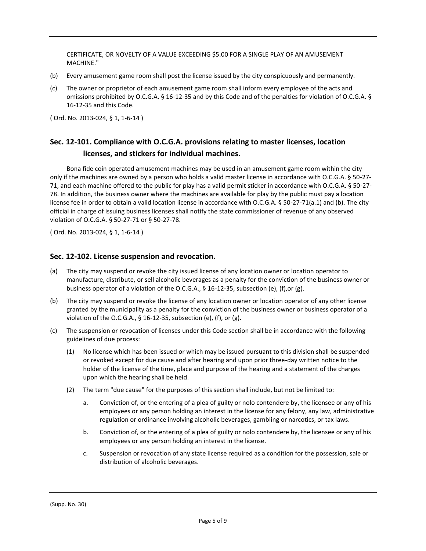CERTIFICATE, OR NOVELTY OF A VALUE EXCEEDING \$5.00 FOR A SINGLE PLAY OF AN AMUSEMENT MACHINE."

- (b) Every amusement game room shall post the license issued by the city conspicuously and permanently.
- (c) The owner or proprietor of each amusement game room shall inform every employee of the acts and omissions prohibited by O.C.G.A. § 16-12-35 and by this Code and of the penalties for violation of O.C.G.A. § 16-12-35 and this Code.

( Ord. No. 2013-024, § 1, 1-6-14 )

### **Sec. 12-101. Compliance with O.C.G.A. provisions relating to master licenses, location licenses, and stickers for individual machines.**

Bona fide coin operated amusement machines may be used in an amusement game room within the city only if the machines are owned by a person who holds a valid master license in accordance with O.C.G.A. § 50-27- 71, and each machine offered to the public for play has a valid permit sticker in accordance with O.C.G.A. § 50-27- 78. In addition, the business owner where the machines are available for play by the public must pay a location license fee in order to obtain a valid location license in accordance with O.C.G.A. § 50-27-71(a.1) and (b). The city official in charge of issuing business licenses shall notify the state commissioner of revenue of any observed violation of O.C.G.A. § 50-27-71 or § 50-27-78.

( Ord. No. 2013-024, § 1, 1-6-14 )

#### **Sec. 12-102. License suspension and revocation.**

- (a) The city may suspend or revoke the city issued license of any location owner or location operator to manufacture, distribute, or sell alcoholic beverages as a penalty for the conviction of the business owner or business operator of a violation of the O.C.G.A., § 16-12-35, subsection (e), (f),or (g).
- (b) The city may suspend or revoke the license of any location owner or location operator of any other license granted by the municipality as a penalty for the conviction of the business owner or business operator of a violation of the O.C.G.A., § 16-12-35, subsection (e), (f), or (g).
- (c) The suspension or revocation of licenses under this Code section shall be in accordance with the following guidelines of due process:
	- (1) No license which has been issued or which may be issued pursuant to this division shall be suspended or revoked except for due cause and after hearing and upon prior three-day written notice to the holder of the license of the time, place and purpose of the hearing and a statement of the charges upon which the hearing shall be held.
	- (2) The term "due cause" for the purposes of this section shall include, but not be limited to:
		- a. Conviction of, or the entering of a plea of guilty or nolo contendere by, the licensee or any of his employees or any person holding an interest in the license for any felony, any law, administrative regulation or ordinance involving alcoholic beverages, gambling or narcotics, or tax laws.
		- b. Conviction of, or the entering of a plea of guilty or nolo contendere by, the licensee or any of his employees or any person holding an interest in the license.
		- c. Suspension or revocation of any state license required as a condition for the possession, sale or distribution of alcoholic beverages.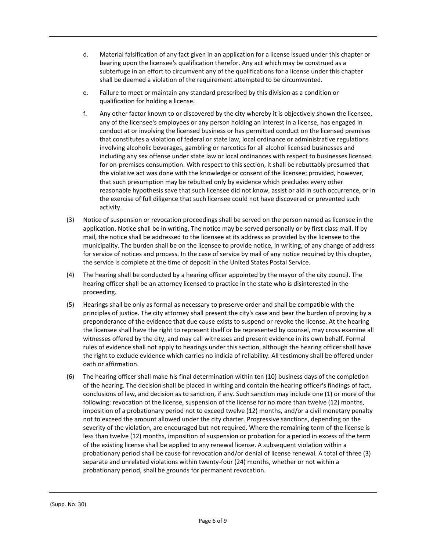- d. Material falsification of any fact given in an application for a license issued under this chapter or bearing upon the licensee's qualification therefor. Any act which may be construed as a subterfuge in an effort to circumvent any of the qualifications for a license under this chapter shall be deemed a violation of the requirement attempted to be circumvented.
- e. Failure to meet or maintain any standard prescribed by this division as a condition or qualification for holding a license.
- f. Any other factor known to or discovered by the city whereby it is objectively shown the licensee, any of the licensee's employees or any person holding an interest in a license, has engaged in conduct at or involving the licensed business or has permitted conduct on the licensed premises that constitutes a violation of federal or state law, local ordinance or administrative regulations involving alcoholic beverages, gambling or narcotics for all alcohol licensed businesses and including any sex offense under state law or local ordinances with respect to businesses licensed for on-premises consumption. With respect to this section, it shall be rebuttably presumed that the violative act was done with the knowledge or consent of the licensee; provided, however, that such presumption may be rebutted only by evidence which precludes every other reasonable hypothesis save that such licensee did not know, assist or aid in such occurrence, or in the exercise of full diligence that such licensee could not have discovered or prevented such activity.
- (3) Notice of suspension or revocation proceedings shall be served on the person named as licensee in the application. Notice shall be in writing. The notice may be served personally or by first class mail. If by mail, the notice shall be addressed to the licensee at its address as provided by the licensee to the municipality. The burden shall be on the licensee to provide notice, in writing, of any change of address for service of notices and process. In the case of service by mail of any notice required by this chapter, the service is complete at the time of deposit in the United States Postal Service.
- (4) The hearing shall be conducted by a hearing officer appointed by the mayor of the city council. The hearing officer shall be an attorney licensed to practice in the state who is disinterested in the proceeding.
- (5) Hearings shall be only as formal as necessary to preserve order and shall be compatible with the principles of justice. The city attorney shall present the city's case and bear the burden of proving by a preponderance of the evidence that due cause exists to suspend or revoke the license. At the hearing the licensee shall have the right to represent itself or be represented by counsel, may cross examine all witnesses offered by the city, and may call witnesses and present evidence in its own behalf. Formal rules of evidence shall not apply to hearings under this section, although the hearing officer shall have the right to exclude evidence which carries no indicia of reliability. All testimony shall be offered under oath or affirmation.
- (6) The hearing officer shall make his final determination within ten (10) business days of the completion of the hearing. The decision shall be placed in writing and contain the hearing officer's findings of fact, conclusions of law, and decision as to sanction, if any. Such sanction may include one (1) or more of the following: revocation of the license, suspension of the license for no more than twelve (12) months, imposition of a probationary period not to exceed twelve (12) months, and/or a civil monetary penalty not to exceed the amount allowed under the city charter. Progressive sanctions, depending on the severity of the violation, are encouraged but not required. Where the remaining term of the license is less than twelve (12) months, imposition of suspension or probation for a period in excess of the term of the existing license shall be applied to any renewal license. A subsequent violation within a probationary period shall be cause for revocation and/or denial of license renewal. A total of three (3) separate and unrelated violations within twenty-four (24) months, whether or not within a probationary period, shall be grounds for permanent revocation.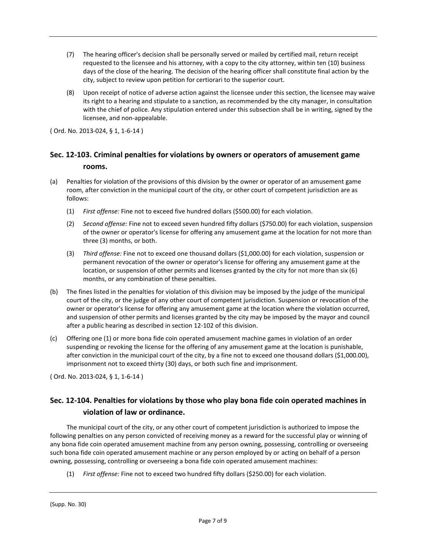- (7) The hearing officer's decision shall be personally served or mailed by certified mail, return receipt requested to the licensee and his attorney, with a copy to the city attorney, within ten (10) business days of the close of the hearing. The decision of the hearing officer shall constitute final action by the city, subject to review upon petition for certiorari to the superior court.
- (8) Upon receipt of notice of adverse action against the licensee under this section, the licensee may waive its right to a hearing and stipulate to a sanction, as recommended by the city manager, in consultation with the chief of police. Any stipulation entered under this subsection shall be in writing, signed by the licensee, and non-appealable.

( Ord. No. 2013-024, § 1, 1-6-14 )

#### **Sec. 12-103. Criminal penalties for violations by owners or operators of amusement game rooms.**

- (a) Penalties for violation of the provisions of this division by the owner or operator of an amusement game room, after conviction in the municipal court of the city, or other court of competent jurisdiction are as follows:
	- (1) *First offense:* Fine not to exceed five hundred dollars (\$500.00) for each violation.
	- (2) *Second offense:* Fine not to exceed seven hundred fifty dollars (\$750.00) for each violation, suspension of the owner or operator's license for offering any amusement game at the location for not more than three (3) months, or both.
	- (3) *Third offense:* Fine not to exceed one thousand dollars (\$1,000.00) for each violation, suspension or permanent revocation of the owner or operator's license for offering any amusement game at the location, or suspension of other permits and licenses granted by the city for not more than six (6) months, or any combination of these penalties.
- (b) The fines listed in the penalties for violation of this division may be imposed by the judge of the municipal court of the city, or the judge of any other court of competent jurisdiction. Suspension or revocation of the owner or operator's license for offering any amusement game at the location where the violation occurred, and suspension of other permits and licenses granted by the city may be imposed by the mayor and council after a public hearing as described in section 12-102 of this division.
- (c) Offering one (1) or more bona fide coin operated amusement machine games in violation of an order suspending or revoking the license for the offering of any amusement game at the location is punishable, after conviction in the municipal court of the city, by a fine not to exceed one thousand dollars (\$1,000.00), imprisonment not to exceed thirty (30) days, or both such fine and imprisonment.

( Ord. No. 2013-024, § 1, 1-6-14 )

#### **Sec. 12-104. Penalties for violations by those who play bona fide coin operated machines in violation of law or ordinance.**

The municipal court of the city, or any other court of competent jurisdiction is authorized to impose the following penalties on any person convicted of receiving money as a reward for the successful play or winning of any bona fide coin operated amusement machine from any person owning, possessing, controlling or overseeing such bona fide coin operated amusement machine or any person employed by or acting on behalf of a person owning, possessing, controlling or overseeing a bona fide coin operated amusement machines:

(1) *First offense:* Fine not to exceed two hundred fifty dollars (\$250.00) for each violation.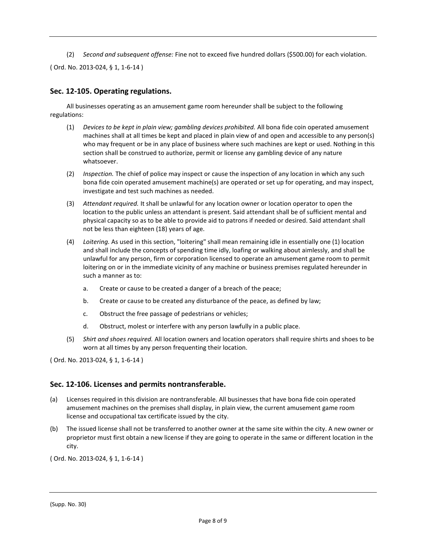(2) *Second and subsequent offense:* Fine not to exceed five hundred dollars (\$500.00) for each violation.

( Ord. No. 2013-024, § 1, 1-6-14 )

#### **Sec. 12-105. Operating regulations.**

All businesses operating as an amusement game room hereunder shall be subject to the following regulations:

- (1) *Devices to be kept in plain view; gambling devices prohibited.* All bona fide coin operated amusement machines shall at all times be kept and placed in plain view of and open and accessible to any person(s) who may frequent or be in any place of business where such machines are kept or used. Nothing in this section shall be construed to authorize, permit or license any gambling device of any nature whatsoever.
- (2) *Inspection.* The chief of police may inspect or cause the inspection of any location in which any such bona fide coin operated amusement machine(s) are operated or set up for operating, and may inspect, investigate and test such machines as needed.
- (3) *Attendant required.* It shall be unlawful for any location owner or location operator to open the location to the public unless an attendant is present. Said attendant shall be of sufficient mental and physical capacity so as to be able to provide aid to patrons if needed or desired. Said attendant shall not be less than eighteen (18) years of age.
- (4) *Loitering.* As used in this section, "loitering" shall mean remaining idle in essentially one (1) location and shall include the concepts of spending time idly, loafing or walking about aimlessly, and shall be unlawful for any person, firm or corporation licensed to operate an amusement game room to permit loitering on or in the immediate vicinity of any machine or business premises regulated hereunder in such a manner as to:
	- a. Create or cause to be created a danger of a breach of the peace;
	- b. Create or cause to be created any disturbance of the peace, as defined by law;
	- c. Obstruct the free passage of pedestrians or vehicles;
	- d. Obstruct, molest or interfere with any person lawfully in a public place.
- (5) *Shirt and shoes required.* All location owners and location operators shall require shirts and shoes to be worn at all times by any person frequenting their location.

( Ord. No. 2013-024, § 1, 1-6-14 )

#### **Sec. 12-106. Licenses and permits nontransferable.**

- (a) Licenses required in this division are nontransferable. All businesses that have bona fide coin operated amusement machines on the premises shall display, in plain view, the current amusement game room license and occupational tax certificate issued by the city.
- (b) The issued license shall not be transferred to another owner at the same site within the city. A new owner or proprietor must first obtain a new license if they are going to operate in the same or different location in the city.

( Ord. No. 2013-024, § 1, 1-6-14 )